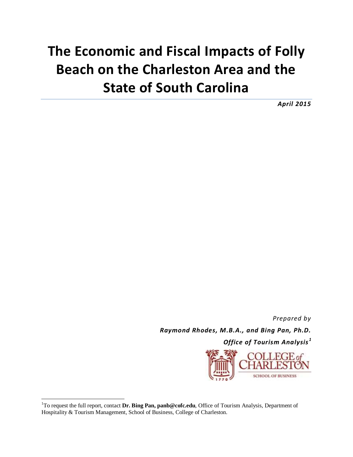## **The Economic and Fiscal Impacts of Folly Beach on the Charleston Area and the State of South Carolina**

*April 2015*

*Prepared by Raymond Rhodes, M.B.A., and Bing Pan, Ph.D.*

*Office of Tourism Analysis <sup>1</sup>*



<sup>1</sup>To request the full report, contact **Dr. Bing Pan, panb@cofc.edu**, Office of Tourism Analysis, Department of Hospitality & Tourism Management, School of Business, College of Charleston.

 $\overline{a}$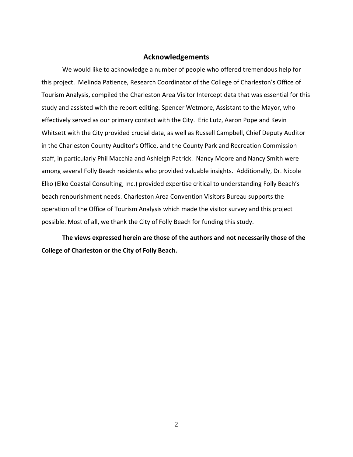## **Acknowledgements**

We would like to acknowledge a number of people who offered tremendous help for this project. Melinda Patience, Research Coordinator of the College of Charleston's Office of Tourism Analysis, compiled the Charleston Area Visitor Intercept data that was essential for this study and assisted with the report editing. Spencer Wetmore, Assistant to the Mayor, who effectively served as our primary contact with the City. Eric Lutz, Aaron Pope and Kevin Whitsett with the City provided crucial data, as well as Russell Campbell, Chief Deputy Auditor in the Charleston County Auditor's Office, and the County Park and Recreation Commission staff, in particularly Phil Macchia and Ashleigh Patrick. Nancy Moore and Nancy Smith were among several Folly Beach residents who provided valuable insights. Additionally, Dr. Nicole Elko (Elko Coastal Consulting, Inc.) provided expertise critical to understanding Folly Beach's beach renourishment needs. Charleston Area Convention Visitors Bureau supports the operation of the Office of Tourism Analysis which made the visitor survey and this project possible. Most of all, we thank the City of Folly Beach for funding this study.

**The views expressed herein are those of the authors and not necessarily those of the College of Charleston or the City of Folly Beach.**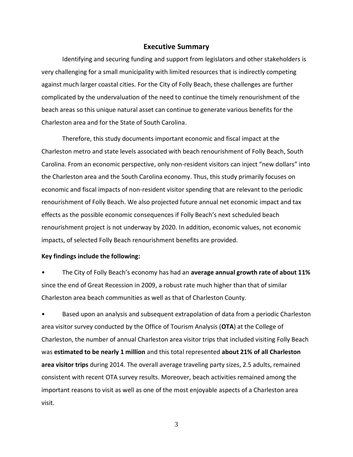## **Executive Summary**

Identifying and securing funding and support from legislators and other stakeholders is very challenging for a small municipality with limited resources that is indirectly competing against much larger coastal cities. For the City of Folly Beach, these challenges are further complicated by the undervaluation of the need to continue the timely renourishment of the beach areas so this unique natural asset can continue to generate various benefits for the Charleston area and for the State of South Carolina.

Therefore, this study documents important economic and fiscal impact at the Charleston metro and state levels associated with beach renourishment of Folly Beach, South Carolina. From an economic perspective, only non-resident visitors can inject "new dollars" into the Charleston area and the South Carolina economy. Thus, this study primarily focuses on economic and fiscal impacts of non-resident visitor spending that are relevant to the periodic renourishment of Folly Beach. We also projected future annual net economic impact and tax effects as the possible economic consequences if Folly Beach's next scheduled beach renourishment project is not underway by 2020. In addition, economic values, not economic impacts, of selected Folly Beach renourishment benefits are provided.

## **Key findings include the following:**

• The City of Folly Beach's economy has had an **average annual growth rate of about 11%**  since the end of Great Recession in 2009, a robust rate much higher than that of similar Charleston area beach communities as well as that of Charleston County.

• Based upon an analysis and subsequent extrapolation of data from a periodic Charleston area visitor survey conducted by the Office of Tourism Analysis (**OTA**) at the College of Charleston, the number of annual Charleston area visitor trips that included visiting Folly Beach was **estimated to be nearly 1 million** and this total represented **about 21% of all Charleston area visitor trips** during 2014. The overall average traveling party sizes, 2.5 adults, remained consistent with recent OTA survey results. Moreover, beach activities remained among the important reasons to visit as well as one of the most enjoyable aspects of a Charleston area visit.

3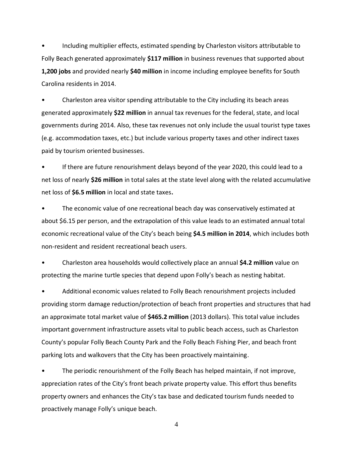• Including multiplier effects, estimated spending by Charleston visitors attributable to Folly Beach generated approximately **\$117 million** in business revenues that supported about **1,200 jobs** and provided nearly **\$40 million** in income including employee benefits for South Carolina residents in 2014.

• Charleston area visitor spending attributable to the City including its beach areas generated approximately **\$22 million** in annual tax revenues for the federal, state, and local governments during 2014. Also, these tax revenues not only include the usual tourist type taxes (e.g. accommodation taxes, etc.) but include various property taxes and other indirect taxes paid by tourism oriented businesses.

• If there are future renourishment delays beyond of the year 2020, this could lead to a net loss of nearly **\$26 million** in total sales at the state level along with the related accumulative net loss of **\$6.5 million** in local and state taxes**.**

• The economic value of one recreational beach day was conservatively estimated at about \$6.15 per person, and the extrapolation of this value leads to an estimated annual total economic recreational value of the City's beach being **\$4.5 million in 2014**, which includes both non-resident and resident recreational beach users.

• Charleston area households would collectively place an annual **\$4.2 million** value on protecting the marine turtle species that depend upon Folly's beach as nesting habitat.

• Additional economic values related to Folly Beach renourishment projects included providing storm damage reduction/protection of beach front properties and structures that had an approximate total market value of **\$465.2 million** (2013 dollars). This total value includes important government infrastructure assets vital to public beach access, such as Charleston County's popular Folly Beach County Park and the Folly Beach Fishing Pier, and beach front parking lots and walkovers that the City has been proactively maintaining.

The periodic renourishment of the Folly Beach has helped maintain, if not improve, appreciation rates of the City's front beach private property value. This effort thus benefits property owners and enhances the City's tax base and dedicated tourism funds needed to proactively manage Folly's unique beach.

4